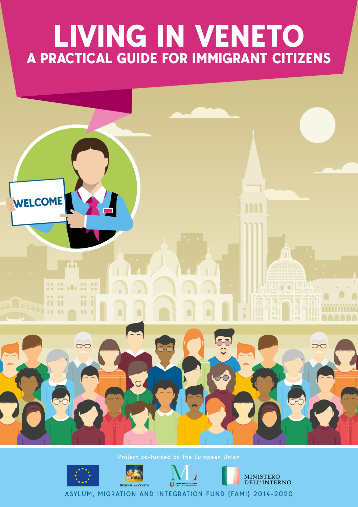# **LIVING IN VENETO A PRACTICAL GUIDE FOR IMMIGRANT CITIZENS**





ASYLUM, MIGRATION AND INTEGRATION FUND (FAMI) 2014-2020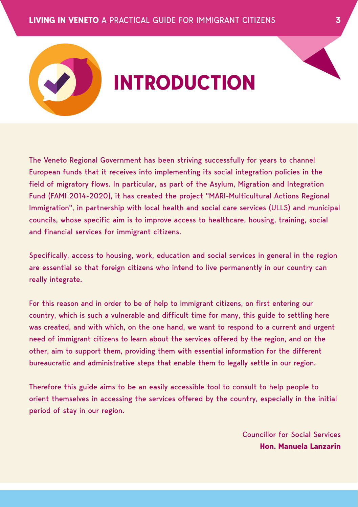The Veneto Regional Government has been striving successfully for years to channel European funds that it receives into implementing its social integration policies in the field of migratory flows. In particular, as part of the Asylum, Migration and Integration Fund (FAMI 2014-2020), it has created the project "MARI-Multicultural Actions Regional Immigration", in partnership with local health and social care services (ULLS) and municipal councils, whose specific aim is to improve access to healthcare, housing, training, social and financial services for immigrant citizens.

**INTRODUCTION**

Specifically, access to housing, work, education and social services in general in the region are essential so that foreign citizens who intend to live permanently in our country can really integrate.

For this reason and in order to be of help to immigrant citizens, on first entering our country, which is such a vulnerable and difficult time for many, this guide to settling here was created, and with which, on the one hand, we want to respond to a current and urgent need of immigrant citizens to learn about the services offered by the region, and on the other, aim to support them, providing them with essential information for the different bureaucratic and administrative steps that enable them to legally settle in our region.

Therefore this guide aims to be an easily accessible tool to consult to help people to orient themselves in accessing the services offered by the country, especially in the initial period of stay in our region.

> Councillor for Social Services **Hon. Manuela Lanzarin**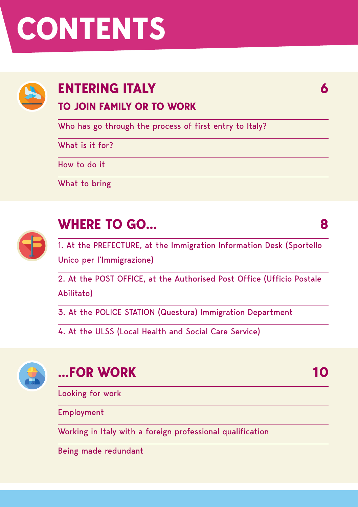# **CONTENTS**



# **ENTERING ITALY**

**TO JOIN FAMILY OR TO WORK**

Who has go through the process of first entry to Italy?

What is it for?

How to do it

What to bring



### **WHERE TO GO…**

1. At the PREFECTURE, at the Immigration Information Desk (Sportello Unico per l'Immigrazione)

**6**

**8**

**10**

2. At the POST OFFICE, at the Authorised Post Office (Ufficio Postale Abilitato)

3. At the POLICE STATION (Questura) Immigration Department

4. At the ULSS (Local Health and Social Care Service)



### **...FOR WORK**

Looking for work

Employment

Working in Italy with a foreign professional qualification

Being made redundant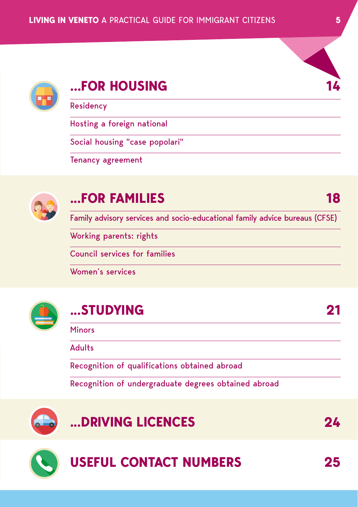



### **…FOR HOUSING**

Residency

Hosting a foreign national

Social housing "case popolari"

Tenancy agreement



### **...FOR FAMILIES**

Family advisory services and socio-educational family advice bureaus (CFSE)

Working parents: rights

Council services for families

Women's services



### **...STUDYING**

Minors

Adults

Recognition of qualifications obtained abroad

Recognition of undergraduate degrees obtained abroad



### **...DRIVING LICENCES**

**24**

**21**



### **USEFUL CONTACT NUMBERS**

**25**

**18**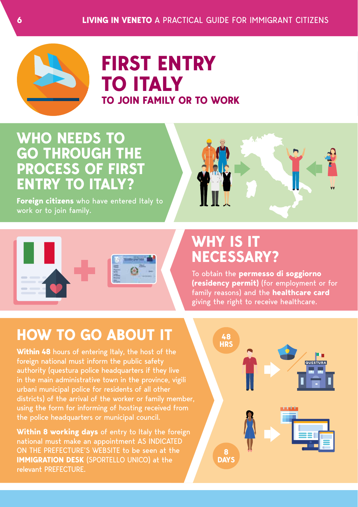

### **FIRST ENTRY TO ITALY TO JOIN FAMILY OR TO WORK**

### **WHO NEEDS TO GO THROUGH THE PROCESS OF FIRST ENTRY TO ITALY?**

**Foreign citizens** who have entered Italy to work or to join family.





### **WHY IS IT NECESSARY?**

To obtain the **permesso di soggiorno (residency permit)** (for employment or for family reasons) and the **healthcare card** giving the right to receive healthcare.

### **HOW TO GO ABOUT IT**

**Within 48** hours of entering Italy, the host of the foreign national must inform the public safety authority (questura police headquarters if they live in the main administrative town in the province, vigili urbani municipal police for residents of all other districts) of the arrival of the worker or family member, using the form for informing of hosting received from the police headquarters or municipal council.

**Within 8 working days** of entry to Italy the foreign national must make an appointment AS INDICATED ON THE PREFECTURE'S WEBSITE to be seen at the **IMMIGRATION DESK** (SPORTELLO UNICO) at the relevant PREFECTURE.

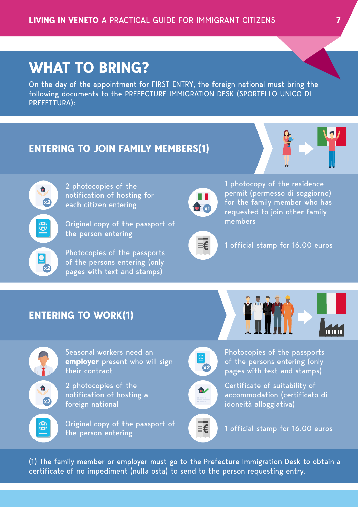### **WHAT TO BRING?**

On the day of the appointment for FIRST ENTRY, the foreign national must bring the following documents to the PREFECTURE IMMIGRATION DESK (SPORTELLO UNICO DI PREFETTURA):

#### **ENTERING TO JOIN FAMILY MEMBERS(1)**





2 photocopies of the notification of hosting for each citizen entering

Original copy of the passport of the person entering

Photocopies of the passports of the persons entering (only pages with text and stamps)



1 photocopy of the residence permit (permesso di soggiorno) for the family member who has requested to join other family members



1 official stamp for 16.00 euros

#### **ENTERING TO WORK(1)**



Seasonal workers need an **employer** present who will sign their contract

2 photocopies of the notification of hosting a foreign national

Original copy of the passport of the person entering



Photocopies of the passports of the persons entering (only pages with text and stamps)



Certificate of suitability of accommodation (certificato di idoneità alloggiativa)



1 official stamp for 16.00 euros

(1) The family member or employer must go to the Prefecture Immigration Desk to obtain a certificate of no impediment (nulla osta) to send to the person requesting entry.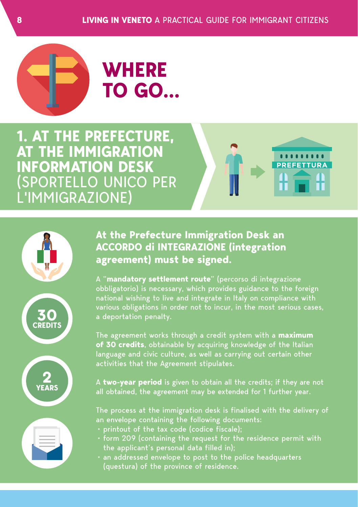

# **WHERE TO GO…**

**1. AT THE PREFECTURE, AT THE IMMIGRATION INFORMATION DESK**  (SPORTELLO UNICO PER L'IMMIGRAZIONE)











#### **At the Prefecture Immigration Desk an ACCORDO di INTEGRAZIONE (integration agreement) must be signed.**

A "**mandatory settlement route**" (percorso di integrazione obbligatorio) is necessary, which provides guidance to the foreign national wishing to live and integrate in Italy on compliance with various obligations in order not to incur, in the most serious cases, a deportation penalty.

The agreement works through a credit system with a **maximum of 30 credits**, obtainable by acquiring knowledge of the Italian language and civic culture, as well as carrying out certain other activities that the Agreement stipulates.

A **two-year period** is given to obtain all the credits; if they are not all obtained, the agreement may be extended for 1 further year.

The process at the immigration desk is finalised with the delivery of an envelope containing the following documents:

- printout of the tax code (codice fiscale);
- form 209 (containing the request for the residence permit with the applicant's personal data filled in);
- an addressed envelope to post to the police headquarters (questura) of the province of residence.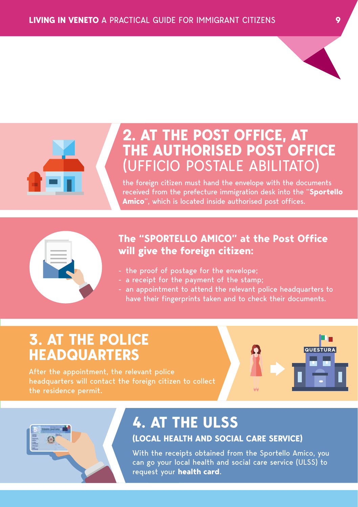

### **2. AT THE POST OFFICE, AT THE AUTHORISED POST OFFICE**  (UFFICIO POSTALE ABILITATO)

the foreign citizen must hand the envelope with the documents received from the prefecture immigration desk into the "**Sportello Amico**", which is located inside authorised post offices.

#### **The "SPORTELLO AMICO" at the Post Office will give the foreign citizen:**

- the proof of postage for the envelope;
- a receipt for the payment of the stamp;
- an appointment to attend the relevant police headquarters to have their fingerprints taken and to check their documents.

### **3. AT THE POLICE HEADQUARTERS**

After the appointment, the relevant police headquarters will contact the foreign citizen to collect the residence permit.

### **4. AT THE ULSS**

#### **(LOCAL HEALTH AND SOCIAL CARE SERVICE)**

With the receipts obtained from the Sportello Amico, you can go your local health and social care service (ULSS) to request your **health card**.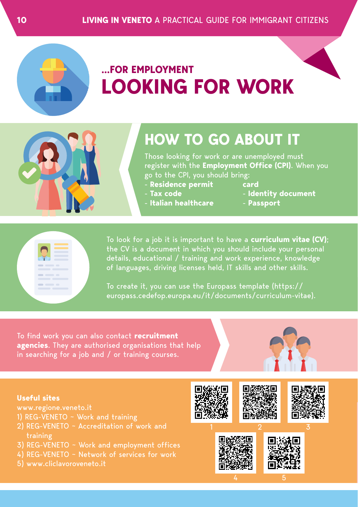

### **…FOR EMPLOYMENT LOOKING FOR WORK**

### **HOW TO GO ABOUT IT**

Those looking for work or are unemployed must register with the **Employment Office (CPI)**. When you go to the CPI, you should bring:

- **Residence permit**
- **Tax code**
- **Italian healthcare**
- **card** - **Identity document**
- **Passport**



To look for a job it is important to have a **curriculum vitae (CV)**; the CV is a document in which you should include your personal details, educational / training and work experience, knowledge of languages, driving licenses held, IT skills and other skills.

To create it, you can use the Europass template (https:// europass.cedefop.europa.eu/it/documents/curriculum-vitae).

To find work you can also contact **recruitment agencies**. They are authorised organisations that help in searching for a job and / or training courses.



#### **Useful sites**

www.regione.veneto.it

- 1) REG-VENETO ~ Work and training
- 2) REG-VENETO ~ Accreditation of work and training
- 3) REG-VENETO ~ Work and employment offices
- 4) REG-VENETO ~ Network of services for work
- 5) www.cliclavoroveneto.it

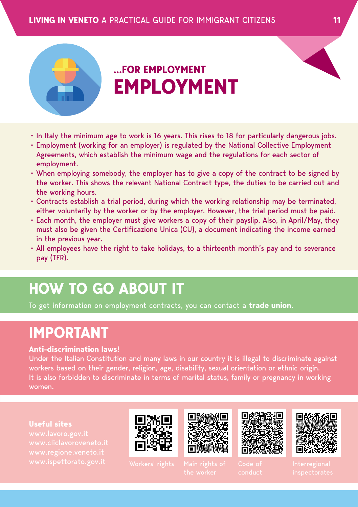

### **…FOR EMPLOYMENT EMPLOYMENT**

- In Italy the minimum age to work is 16 years. This rises to 18 for particularly dangerous jobs.
- Employment (working for an employer) is regulated by the National Collective Employment Agreements, which establish the minimum wage and the regulations for each sector of employment.
- When employing somebody, the employer has to give a copy of the contract to be signed by the worker. This shows the relevant National Contract type, the duties to be carried out and the working hours.
- Contracts establish a trial period, during which the working relationship may be terminated, either voluntarily by the worker or by the employer. However, the trial period must be paid.
- Each month, the employer must give workers a copy of their payslip. Also, in April/May, they must also be given the Certificazione Unica (CU), a document indicating the income earned in the previous year.
- All employees have the right to take holidays, to a thirteenth month's pay and to severance pay (TFR).

### **HOW TO GO ABOUT IT**

To get information on employment contracts, you can contact a **trade union**.

### **IMPORTANT**

#### **Anti-discrimination laws!**

Under the Italian Constitution and many laws in our country it is illegal to discriminate against workers based on their gender, religion, age, disability, sexual orientation or ethnic origin. It is also forbidden to discriminate in terms of marital status, family or pregnancy in working women.

#### **Useful sites**









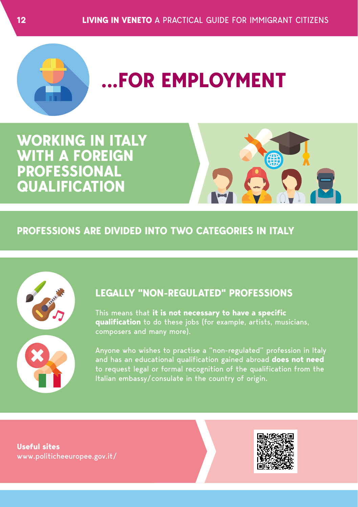

# **...FOR EMPLOYMENT**

### **WORKING IN ITALY WITH A FOREIGN PROFESSIONAL QUALIFICATION**



#### **PROFESSIONS ARE DIVIDED INTO TWO CATEGORIES IN ITALY**



#### **LEGALLY "NON-REGULATED" PROFESSIONS**

This means that **it is not necessary to have a specific qualification** to do these jobs (for example, artists, musicians, composers and many more).

Anyone who wishes to practise a "non-regulated" profession in Italy and has an educational qualification gained abroad **does not need**  to request legal or formal recognition of the qualification from the Italian embassy/consulate in the country of origin.

**Useful sites** www.politicheeuropee.gov.it/

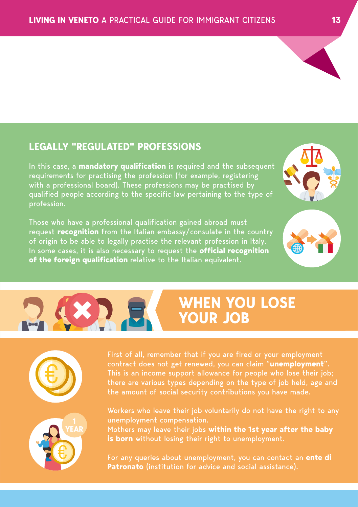

In this case, a **mandatory qualification** is required and the subsequent requirements for practising the profession (for example, registering with a professional board). These professions may be practised by qualified people according to the specific law pertaining to the type of profession.

Those who have a professional qualification gained abroad must request **recognition** from the Italian embassy/consulate in the country of origin to be able to legally practise the relevant profession in Italy. In some cases, it is also necessary to request the **official recognition of the foreign qualification** relative to the Italian equivalent.

### **WHEN YOU LOSE YOUR JOB**

contract does not get renewed, you can claim "**unemployment**". This is an income support allowance for people who lose their job; there are various types depending on the type of job held, age and the amount of social security contributions you have made.

Workers who leave their job voluntarily do not have the right to any unemployment compensation. Mothers may leave their jobs **within the 1st year after the baby** 

**is born** without losing their right to unemployment.

For any queries about unemployment, you can contact an **ente di Patronato** (institution for advice and social assistance).







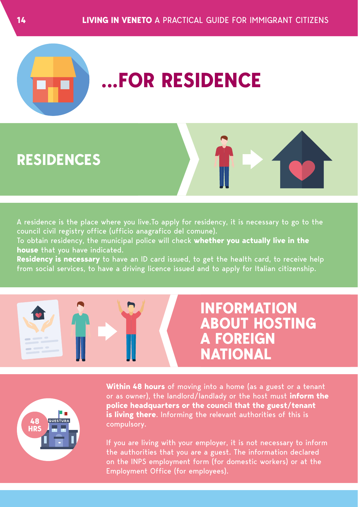

# **.FOR RESIDENCE**

### **RESIDENCES**

A residence is the place where you live.To apply for residency, it is necessary to go to the council civil registry office (ufficio anagrafico del comune).

To obtain residency, the municipal police will check **whether you actually live in the house** that you have indicated.

**Residency is necessary** to have an ID card issued, to get the health card, to receive help from social services, to have a driving licence issued and to apply for Italian citizenship.





**INFORMATION ABOUT HOSTING A FOREIGN NATIONAL**



**Within 48 hours** of moving into a home (as a guest or a tenant or as owner), the landlord/landlady or the host must **inform the police headquarters or the council that the guest/tenant is living there**. Informing the relevant authorities of this is compulsory.

If you are living with your employer, it is not necessary to inform the authorities that you are a guest. The information declared on the INPS employment form (for domestic workers) or at the Employment Office (for employees).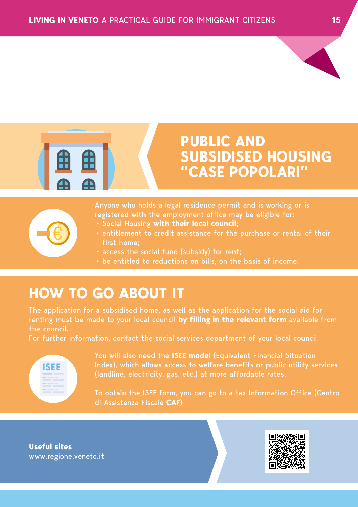

### **PUBLIC AND SUBSIDISED HOUSING "CASE POPOLARI"**

Anyone who holds a legal residence permit and is working or is registered with the employment office may be eligible for: • Social Housing **with their local council**;

- entitlement to credit assistance for the purchase or rental of their first home;
- access the social fund (subsidy) for rent;
- be entitled to reductions on bills, on the basis of income.

### **HOW TO GO ABOUT IT**

The application for a subsidised home, as well as the application for the social aid for renting must be made to your local council **by filling in the relevant form** available from the council.

For further information, contact the social services department of your local council.



You will also need the **ISEE model** (Equivalent Financial Situation Index), which allows access to welfare benefits or public utility services (landline, electricity, gas, etc.) at more affordable rates.

To obtain the ISEE form, you can go to a tax Information Office (Centro di Assistenza Fiscale **CAF**)

**Useful sites** www.regione.veneto.it

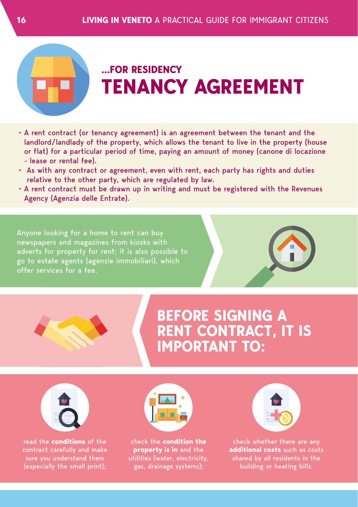

### **...FOR RESIDENCY TENANCY AGREEMENT**

- A rent contract (or tenancy agreement) is an agreement between the tenant and the landlord/landlady of the property, which allows the tenant to live in the property (house or flat) for a particular period of time, paying an amount of money (canone di locazione - lease or rental fee).
- As with any contract or agreement, even with rent, each party has rights and duties relative to the other party, which are regulated by law.
- A rent contract must be drawn up in writing and must be registered with the Revenues Agency (Agenzia delle Entrate).

Anyone looking for a home to rent can buy newspapers and magazines from kiosks with adverts for property for rent; it is also possible to go to estate agents (agenzie immobiliari), which offer services for a fee.





### **BEFORE SIGNING A RENT CONTRACT, IT IS IMPORTANT TO:**



read the **conditions** of the contract carefully and make sure you understand them (especially the small print);



check the **condition the property is in** and the utilities (water, electricity, gas, drainage systems);



**additional costs** such as costs shared by all residents in the building or heating bills.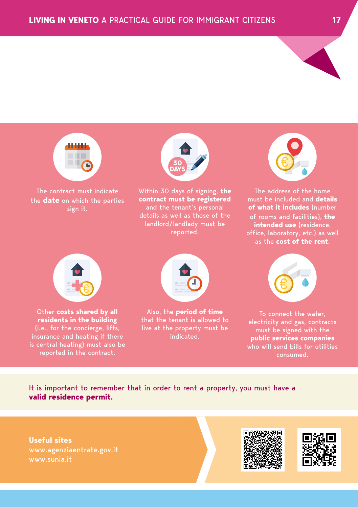

The contract must indicate the **date** on which the parties sign it.



Within 30 days of signing, **the contract must be registered**  and the tenant's personal details as well as those of the landlord/landlady must be reported.



The address of the home must be included and **details of what it includes** (number of rooms and facilities), **the intended use** (residence, as the **cost of the rent**.



Other **costs shared by all residents in the building** (i.e., for the concierge, lifts, insurance and heating if there is central heating) must also be reported in the contract.



Also, the **period of time** that the tenant is allowed to live at the property must be indicated.



To connect the water, electricity and gas, contracts must be signed with the **public services companies** who will send bills for utilities consumed.

It is important to remember that in order to rent a property, you must have a **valid residence permit.**

**Useful sites** www.agenziaentrate.gov.it www.sunia.it

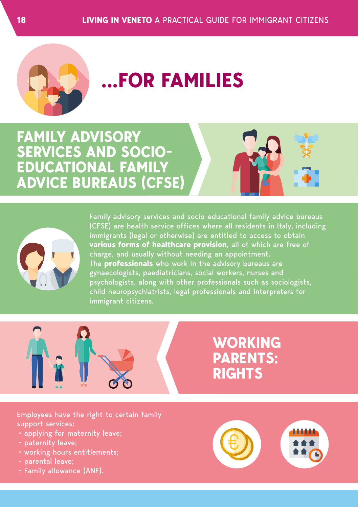

# **...FOR FAMILIES**

**FAMILY ADVISORY SERVICES AND SOCIO-EDUCATIONAL FAMILY ADVICE BUREAUS (CFSE)**



(CFSE) are health service offices where all residents in Italy, including immigrants (legal or otherwise) are entitled to access to obtain **various forms of healthcare provision**, all of which are free of charge, and usually without needing an appointment. The **professionals** who work in the advisory bureaus are gynaecologists, paediatricians, social workers, nurses and psychologists, along with other professionals such as sociologists, child neuropsychiatrists, legal professionals and interpreters for immigrant citizens.



### **WORKING PARENTS: RIGHTS**

Employees have the right to certain family support services:

- applying for maternity leave;
- paternity leave;
- working hours entitlements;
- parental leave;
- Family allowance (ANF).

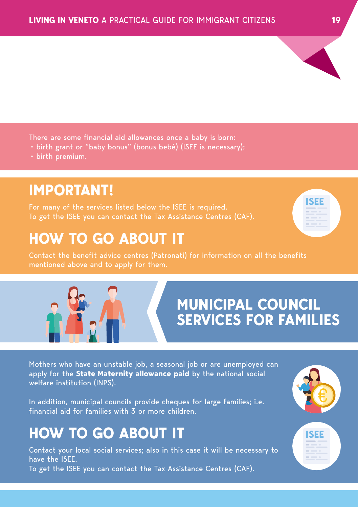

- birth grant or "baby bonus" (bonus bebè) (ISEE is necessary);
- birth premium.

### **IMPORTANT!**

For many of the services listed below the ISEE is required. To get the ISEE you can contact the Tax Assistance Centres (CAF).

### **HOW TO GO ABOUT IT**

Contact the benefit advice centres (Patronati) for information on all the benefits mentioned above and to apply for them.

## **MUNICIPAL COUNCIL SERVICES FOR FAMILIES**

Mothers who have an unstable job, a seasonal job or are unemployed can apply for the **State Maternity allowance paid** by the national social welfare institution (INPS).

In addition, municipal councils provide cheques for large families; i.e. financial aid for families with 3 or more children.

### **HOW TO GO ABOUT IT**

Contact your local social services; also in this case it will be necessary to have the ISEE. To get the ISEE you can contact the Tax Assistance Centres (CAF).





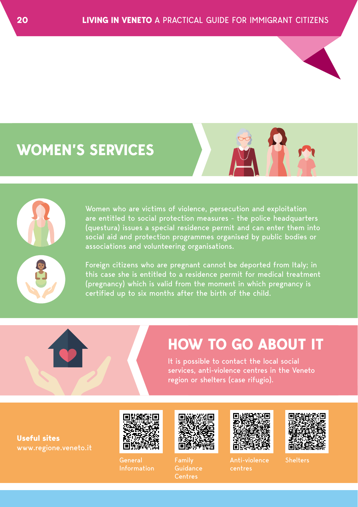### **WOMEN'S SERVICES**





Women who are victims of violence, persecution and exploitation are entitled to social protection measures - the police headquarters (questura) issues a special residence permit and can enter them into social aid and protection programmes organised by public bodies or associations and volunteering organisations.

Foreign citizens who are pregnant cannot be deported from Italy; in (pregnancy) which is valid from the moment in which pregnancy is certified up to six months after the birth of the child.

### **HOW TO GO ABOUT IT**

It is possible to contact the local social services, anti-violence centres in the Veneto region or shelters (case rifugio).

**Useful sites** www.regione.veneto.it



Information



Family Guidance **Centres** 



Anti-violence centres



**Shelters**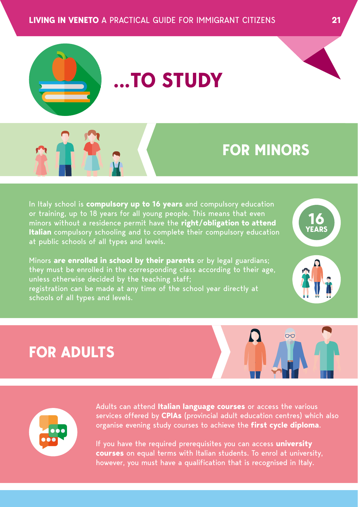

# **...TO STUDY**

### **FOR MINORS**

In Italy school is **compulsory up to 16 years** and compulsory education or training, up to 18 years for all young people. This means that even minors without a residence permit have the **right/obligation to attend Italian** compulsory schooling and to complete their compulsory education at public schools of all types and levels.

Minors **are enrolled in school by their parents** or by legal guardians; they must be enrolled in the corresponding class according to their age, unless otherwise decided by the teaching staff; registration can be made at any time of the school year directly at schools of all types and levels.



### **FOR ADULTS**





Adults can attend **Italian language courses** or access the various services offered by **CPIAs** (provincial adult education centres) which also organise evening study courses to achieve the **first cycle diploma**.

If you have the required prerequisites you can access **university courses** on equal terms with Italian students. To enrol at university, however, you must have a qualification that is recognised in Italy.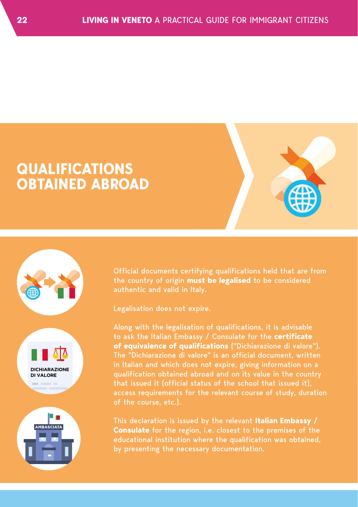





Official documents certifying qualifications held that are from the country of origin **must be legalised** to be considered authentic and valid in Italy.

Legalisation does not expire.

Along with the legalisation of qualifications, it is advisable to ask the Italian Embassy / Consulate for the **certificate of equivalence of qualifications** ("Dichiarazione di valore"). The "Dichiarazione di valore" is an official document, written in Italian and which does not expire, giving information on a qualification obtained abroad and on its value in the country that issued it (official status of the school that issued it), access requirements for the relevant course of study, duration of the course, etc.).

This declaration is issued by the relevant **Italian Embassy / Consulate** for the region, i.e. closest to the premises of the educational institution where the qualification was obtained, by presenting the necessary documentation.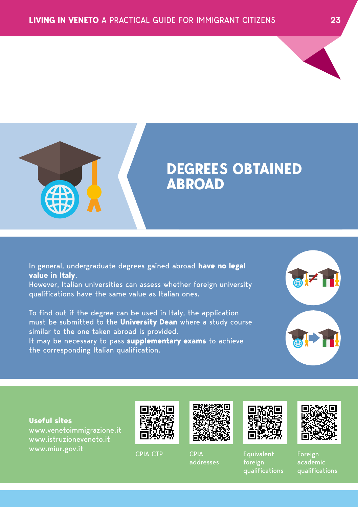



### **DEGREES OBTAINED ABROAD**

In general, undergraduate degrees gained abroad **have no legal value in Italy**.

However, Italian universities can assess whether foreign university qualifications have the same value as Italian ones.

To find out if the degree can be used in Italy, the application must be submitted to the **University Dean** where a study course similar to the one taken abroad is provided. It may be necessary to pass **supplementary exams** to achieve the corresponding Italian qualification.



#### **Useful sites**

www.venetoimmigrazione.it www.miur.gov.it CPIA CTP CPIA





addresses



**Equivalent** foreign qualifications



Foreign academic qualifications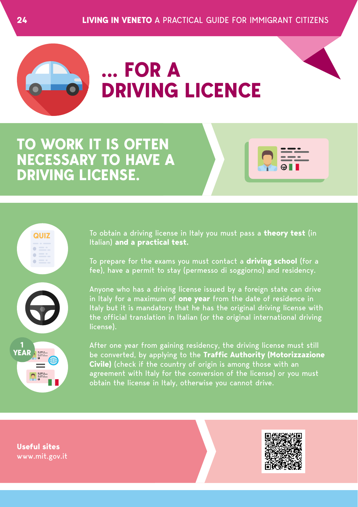

**QUIZ**

# **... FOR A DRIVING LICENCE**

**TO WORK IT IS OFTEN NECESSARY TO HAVE A DRIVING LICENSE.**

> To obtain a driving license in Italy you must pass a **theory test** (in Italian) **and a practical test.**

> To prepare for the exams you must contact a **driving school** (for a fee), have a permit to stay (permesso di soggiorno) and residency.

Anyone who has a driving license issued by a foreign state can drive in Italy for a maximum of **one year** from the date of residence in Italy but it is mandatory that he has the original driving license with the official translation in Italian (or the original international driving license).

After one year from gaining residency, the driving license must still be converted, by applying to the **Traffic Authority (Motorizzazione Civile)** (check if the country of origin is among those with an agreement with Italy for the conversion of the license) or you must obtain the license in Italy, otherwise you cannot drive.

**Useful sites** www.mit.gov.it

**1 YEAR**

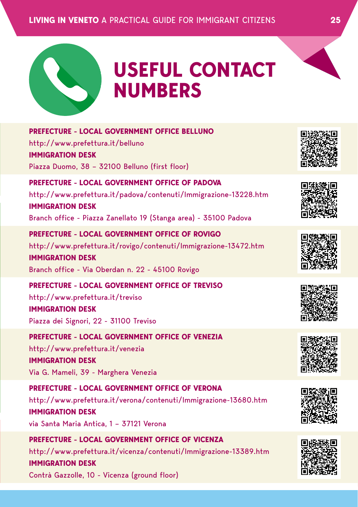

# **USEFUL CONTACT NUMBERS**

| <b>PREFECTURE - LOCAL GOVERNMENT OFFICE BELLUNO</b><br>http://www.prefettura.it/belluno<br><b>IMMIGRATION DESK</b><br>Piazza Duomo, 38 - 32100 Belluno (first floor)                                              |  |
|-------------------------------------------------------------------------------------------------------------------------------------------------------------------------------------------------------------------|--|
| PREFECTURE - LOCAL GOVERNMENT OFFICE OF PADOVA<br>http://www.prefettura.it/padova/contenuti/Immigrazione-13228.htm<br><b>IMMIGRATION DESK</b><br>Branch office - Piazza Zanellato 19 (Stanga area) - 35100 Padova |  |
| <b>PREFECTURE - LOCAL GOVERNMENT OFFICE OF ROVIGO</b><br>http://www.prefettura.it/rovigo/contenuti/Immigrazione-13472.htm<br><b>IMMIGRATION DESK</b><br>Branch office - Via Oberdan n. 22 - 45100 Rovigo          |  |
| PREFECTURE - LOCAL GOVERNMENT OFFICE OF TREVISO<br>http://www.prefettura.it/treviso<br><b>IMMIGRATION DESK</b><br>Piazza dei Signori, 22 - 31100 Treviso                                                          |  |
| <b>PREFECTURE - LOCAL GOVERNMENT OFFICE OF VENEZIA</b><br>http://www.prefettura.it/venezia<br><b>IMMIGRATION DESK</b><br>Via G. Mameli, 39 - Marghera Venezia                                                     |  |
| PREFECTURE - LOCAL GOVERNMENT OFFICE OF VERONA<br>http://www.prefettura.it/verona/contenuti/Immigrazione-13680.htm<br><b>IMMIGRATION DESK</b><br>via Santa Maria Antica, 1 - 37121 Verona                         |  |
| PREFECTURE - LOCAL GOVERNMENT OFFICE OF VICENZA<br>http://www.prefettura.it/vicenza/contenuti/Immigrazione-13389.htm<br><b>IMMIGRATION DESK</b><br>Contrà Gazzolle, 10 - Vicenza (ground floor)                   |  |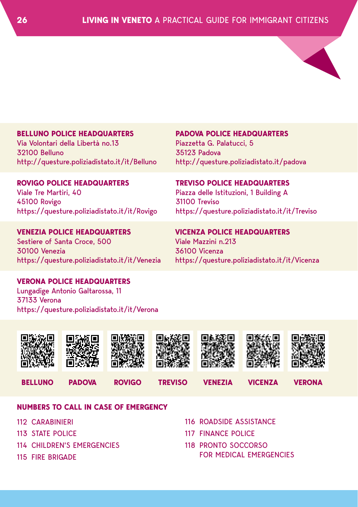

#### **BELLUNO POLICE HEADQUARTERS**

Via Volontari della Libertà no.13 32100 Belluno http://questure.poliziadistato.it/it/Belluno **PADOVA POLICE HEADQUARTERS** Piazzetta G. Palatucci, 5 35123 Padova http://questure.poliziadistato.it/padova

**ROVIGO POLICE HEADQUARTERS** Viale Tre Martiri, 40 45100 Rovigo https://questure.poliziadistato.it/it/Rovigo

**VENEZIA POLICE HEADQUARTERS** Sestiere of Santa Croce, 500 30100 Venezia https://questure.poliziadistato.it/it/Venezia **TREVISO POLICE HEADQUARTERS** Piazza delle Istituzioni, 1 Building A 31100 Treviso

https://questure.poliziadistato.it/it/Treviso

**VICENZA POLICE HEADQUARTERS** Viale Mazzini n.213 36100 Vicenza https://questure.poliziadistato.it/it/Vicenza

#### **VERONA POLICE HEADQUARTERS**

Lungadige Antonio Galtarossa, 11 37133 Verona https://questure.poliziadistato.it/it/Verona





#### **NUMBERS TO CALL IN CASE OF EMERGENCY**

- 112 CARABINIERI
- 113 STATE POLICE
- 114 CHILDREN'S EMERGENCIES
- 115 FIRE BRIGADE
- 116 ROADSIDE ASSISTANCE
- 117 FINANCE POLICE
- 118 PRONTO SOCCORSO FOR MEDICAL EMERGENCIES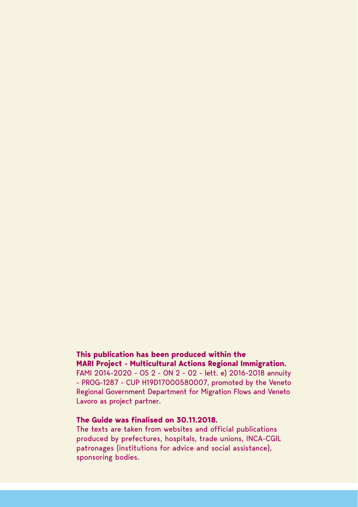#### **This publication has been produced within the MARI Project - Multicultural Actions Regional Immigration.**

FAMI 2014-2020 - OS 2 - ON 2 - 02 - lett. e) 2016-2018 annuity - PROG-1287 - CUP H19D17000580007, promoted by the Veneto Regional Government Department for Migration Flows and Veneto Lavoro as project partner.

#### **The Guide was finalised on 30.11.2018.**

The texts are taken from websites and official publications produced by prefectures, hospitals, trade unions, INCA-CGIL patronages (institutions for advice and social assistance), sponsoring bodies.